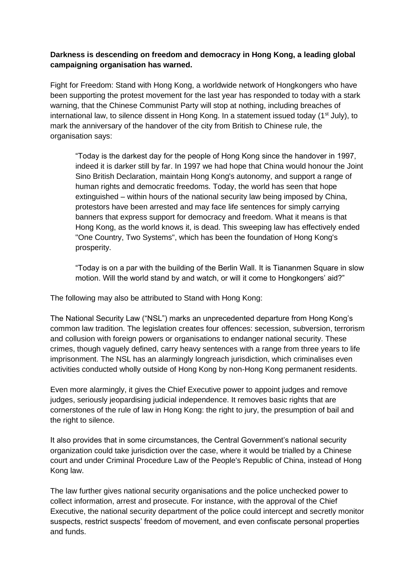## **Darkness is descending on freedom and democracy in Hong Kong, a leading global campaigning organisation has warned.**

Fight for Freedom: Stand with Hong Kong, a worldwide network of Hongkongers who have been supporting the protest movement for the last year has responded to today with a stark warning, that the Chinese Communist Party will stop at nothing, including breaches of international law, to silence dissent in Hong Kong. In a statement issued today (1<sup>st</sup> July), to mark the anniversary of the handover of the city from British to Chinese rule, the organisation says:

"Today is the darkest day for the people of Hong Kong since the handover in 1997, indeed it is darker still by far. In 1997 we had hope that China would honour the Joint Sino British Declaration, maintain Hong Kong's autonomy, and support a range of human rights and democratic freedoms. Today, the world has seen that hope extinguished – within hours of the national security law being imposed by China, protestors have been arrested and may face life sentences for simply carrying banners that express support for democracy and freedom. What it means is that Hong Kong, as the world knows it, is dead. This sweeping law has effectively ended "One Country, Two Systems", which has been the foundation of Hong Kong's prosperity.

"Today is on a par with the building of the Berlin Wall. It is Tiananmen Square in slow motion. Will the world stand by and watch, or will it come to Hongkongers' aid?"

The following may also be attributed to Stand with Hong Kong:

The National Security Law ("NSL") marks an unprecedented departure from Hong Kong's common law tradition. The legislation creates four offences: secession, subversion, terrorism and collusion with foreign powers or organisations to endanger national security. These crimes, though vaguely defined, carry heavy sentences with a range from three years to life imprisonment. The NSL has an alarmingly longreach jurisdiction, which criminalises even activities conducted wholly outside of Hong Kong by non-Hong Kong permanent residents.

Even more alarmingly, it gives the Chief Executive power to appoint judges and remove judges, seriously jeopardising judicial independence. It removes basic rights that are cornerstones of the rule of law in Hong Kong: the right to jury, the presumption of bail and the right to silence.

It also provides that in some circumstances, the Central Government's national security organization could take jurisdiction over the case, where it would be trialled by a Chinese court and under Criminal Procedure Law of the People's Republic of China, instead of Hong Kong law.

The law further gives national security organisations and the police unchecked power to collect information, arrest and prosecute. For instance, with the approval of the Chief Executive, the national security department of the police could intercept and secretly monitor suspects, restrict suspects' freedom of movement, and even confiscate personal properties and funds.